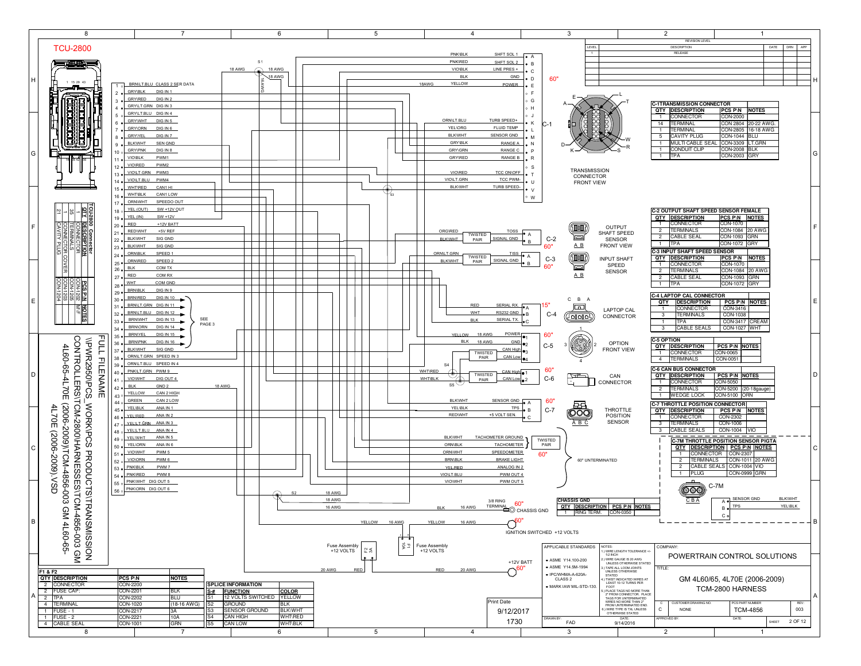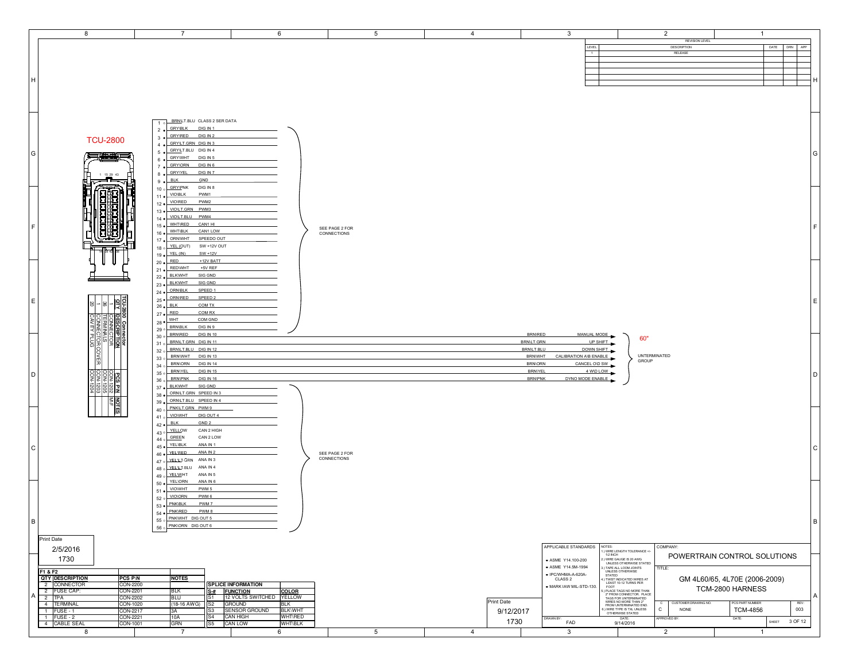| 8                                                            | $\overline{7}$                                                                                     | 6                                                                     | 5              | $\overline{4}$ | $\mathbf{3}$                                                        |                                                                                                                                                                                                                                         | $\overline{2}$                       | $\mathbf{1}$                  |         |
|--------------------------------------------------------------|----------------------------------------------------------------------------------------------------|-----------------------------------------------------------------------|----------------|----------------|---------------------------------------------------------------------|-----------------------------------------------------------------------------------------------------------------------------------------------------------------------------------------------------------------------------------------|--------------------------------------|-------------------------------|---------|
|                                                              |                                                                                                    |                                                                       |                |                | LEVEL                                                               |                                                                                                                                                                                                                                         | <b>REVISION LEVEL</b><br>DESCRIPTION | DATE                          | DRN APP |
|                                                              |                                                                                                    |                                                                       |                |                | $\overline{1}$                                                      |                                                                                                                                                                                                                                         | RELEASE                              |                               |         |
|                                                              |                                                                                                    |                                                                       |                |                |                                                                     |                                                                                                                                                                                                                                         |                                      |                               |         |
|                                                              |                                                                                                    |                                                                       |                |                |                                                                     |                                                                                                                                                                                                                                         |                                      |                               |         |
| Iн.                                                          |                                                                                                    |                                                                       |                |                |                                                                     |                                                                                                                                                                                                                                         |                                      |                               |         |
|                                                              |                                                                                                    |                                                                       |                |                |                                                                     |                                                                                                                                                                                                                                         |                                      |                               |         |
|                                                              |                                                                                                    |                                                                       |                |                |                                                                     |                                                                                                                                                                                                                                         |                                      |                               |         |
|                                                              |                                                                                                    |                                                                       |                |                |                                                                     |                                                                                                                                                                                                                                         |                                      |                               |         |
|                                                              | BRN/LT.BLU CLASS 2 SER DATA                                                                        |                                                                       |                |                |                                                                     |                                                                                                                                                                                                                                         |                                      |                               |         |
|                                                              | 10<br><b>GRY\BLK</b><br>DIG IN 1                                                                   |                                                                       |                |                |                                                                     |                                                                                                                                                                                                                                         |                                      |                               |         |
|                                                              | $2 \bullet$<br><b>GRYVRED</b><br>DIG IN 2<br>$3 \bullet$                                           |                                                                       |                |                |                                                                     |                                                                                                                                                                                                                                         |                                      |                               |         |
| <b>TCU-2800</b>                                              | GRY/LT.GRN DIG IN 3<br>4.9                                                                         |                                                                       |                |                |                                                                     |                                                                                                                                                                                                                                         |                                      |                               |         |
| G<br>三生中的三                                                   | GRY/LT.BLU DIG IN 4<br>$5 \bullet$                                                                 |                                                                       |                |                |                                                                     |                                                                                                                                                                                                                                         |                                      |                               | l G     |
|                                                              | GRYWHT DIG IN 5<br>$6 \bullet$<br>GRY\ORN DIG IN 6<br>$7 \bullet$                                  |                                                                       |                |                |                                                                     |                                                                                                                                                                                                                                         |                                      |                               |         |
| 1 15 29 43                                                   | <b>GRYIYEL</b><br>DIG IN 7<br>$8 \bullet$                                                          |                                                                       |                |                |                                                                     |                                                                                                                                                                                                                                         |                                      |                               |         |
| ▃▜▃                                                          | <b>BLK</b><br>GND<br>$9 \bullet$                                                                   |                                                                       |                |                |                                                                     |                                                                                                                                                                                                                                         |                                      |                               |         |
|                                                              | $10 \circ \frac{GRY1PN}{PRK}$ DIG IN 8                                                             |                                                                       |                |                |                                                                     |                                                                                                                                                                                                                                         |                                      |                               |         |
|                                                              | PWM1<br><b>VIO\BLK</b><br>$11 \bullet$<br>VIO\RED<br>PWM2                                          |                                                                       |                |                |                                                                     |                                                                                                                                                                                                                                         |                                      |                               |         |
|                                                              | $12 \bullet$<br>VIOLT.GRN PWM3<br>$13 \bullet$                                                     |                                                                       |                |                |                                                                     |                                                                                                                                                                                                                                         |                                      |                               |         |
|                                                              | VIOLT.BLU PWM4<br>$14 \bullet$                                                                     |                                                                       |                |                |                                                                     |                                                                                                                                                                                                                                         |                                      |                               |         |
| l F.                                                         | WHT\RED<br>CAN1 HI<br>$15 \bullet$                                                                 |                                                                       | SEE PAGE 2 FOR |                |                                                                     |                                                                                                                                                                                                                                         |                                      |                               |         |
|                                                              | <b>WHT\BLK</b><br>CAN1 LOW<br>$16 \bullet$<br>ORNWHT<br>SPEEDO OUT                                 |                                                                       | CONNECTIONS    |                |                                                                     |                                                                                                                                                                                                                                         |                                      |                               |         |
|                                                              | $17 \bullet$<br>18 o YEL (OUT)<br>SW +12V OUT                                                      |                                                                       |                |                |                                                                     |                                                                                                                                                                                                                                         |                                      |                               |         |
|                                                              | YEL (IN)<br>$SW + 12V$<br>$19 \bullet$                                                             |                                                                       |                |                |                                                                     |                                                                                                                                                                                                                                         |                                      |                               |         |
|                                                              | RED<br>+12V BATT<br>$20 \bullet$                                                                   |                                                                       |                |                |                                                                     |                                                                                                                                                                                                                                         |                                      |                               |         |
|                                                              | <b>REDWHT</b><br>+5V REF<br>$21 \bullet$                                                           |                                                                       |                |                |                                                                     |                                                                                                                                                                                                                                         |                                      |                               |         |
|                                                              | <b>BLKWHT</b><br>SIG GND<br>$22 \bullet$<br><b>BLKWHT</b><br>SIG GND<br>$23 \bullet$               |                                                                       |                |                |                                                                     |                                                                                                                                                                                                                                         |                                      |                               |         |
|                                                              | <b>ORN\BLK</b><br>SPEED 1<br>$24 \bullet$                                                          |                                                                       |                |                |                                                                     |                                                                                                                                                                                                                                         |                                      |                               |         |
| E                                                            | ORNIRED<br>SPEED 2<br>$25 \bullet$                                                                 |                                                                       |                |                |                                                                     |                                                                                                                                                                                                                                         |                                      |                               | l E     |
| $\frac{1}{\frac{101}{101}}$                                  | $26 \bullet$ BLK<br>COM TX                                                                         |                                                                       |                |                |                                                                     |                                                                                                                                                                                                                                         |                                      |                               |         |
|                                                              | $27 \bullet \overline{\phantom{137}}$ RED<br>COM RX<br>$28 \bullet \frac{\text{WHT}}{}$<br>COM GND |                                                                       |                |                |                                                                     |                                                                                                                                                                                                                                         |                                      |                               |         |
| <b>RESCRIPT</b>                                              | 29 o BRNBLK<br>DIG IN 9                                                                            |                                                                       |                |                |                                                                     |                                                                                                                                                                                                                                         |                                      |                               |         |
|                                                              | <b>BRN/RED</b><br>DIG IN 10<br>30 <sub>o</sub>                                                     |                                                                       |                |                | <b>BRN\RED</b><br>MANUAL MODE                                       | 60"                                                                                                                                                                                                                                     |                                      |                               |         |
| 帽                                                            | BRN/LT.GRN DIG IN 11<br>310                                                                        |                                                                       |                |                | BRN\LT.GRN                                                          | UP SHIFT                                                                                                                                                                                                                                |                                      |                               |         |
| <b>COVER</b>                                                 | BRNLT.BLU DIG IN 12<br>320<br>BRNWHT DIG IN 13                                                     |                                                                       |                |                | BRN/LT.BLU<br>DOWN SHIFT<br><b>BRNWHT</b><br>CALIBRATION AVB ENABLE | UNTERMINATED                                                                                                                                                                                                                            |                                      |                               |         |
|                                                              | 330                                                                                                |                                                                       |                |                |                                                                     |                                                                                                                                                                                                                                         |                                      |                               |         |
|                                                              | <b>BRNORN</b><br><b>DIG IN 14</b>                                                                  |                                                                       |                |                | <b>BRN/ORN</b>                                                      | GROUP                                                                                                                                                                                                                                   |                                      |                               |         |
|                                                              | 34 o<br><b>BRNIYEL</b><br><b>DIG IN 15</b>                                                         |                                                                       |                |                | CANCEL OVD SW<br><b>BRNIYEL</b>                                     | 4 WD LOW                                                                                                                                                                                                                                |                                      |                               | l n     |
| D.<br>$\frac{1}{3}$                                          | 35°<br><b>BRN\PNK</b><br><b>DIG IN 16</b><br>36 o                                                  |                                                                       |                |                | DYNO MODE ENABLE<br><b>BRN\PNK</b>                                  |                                                                                                                                                                                                                                         |                                      |                               |         |
|                                                              | SIG GND<br><b>BLKWHT</b><br>$37 \bullet$                                                           |                                                                       |                |                |                                                                     |                                                                                                                                                                                                                                         |                                      |                               |         |
| 淐<br>$\frac{3888}{29}$                                       | ORN/LT.GRN SPEED IN 3<br>38 <sub>o</sub><br>ORNLT.BLU SPEED IN 4                                   |                                                                       |                |                |                                                                     |                                                                                                                                                                                                                                         |                                      |                               |         |
|                                                              | $39 \bullet$<br>PNK/LT.GRN PWM 9<br>40°                                                            |                                                                       |                |                |                                                                     |                                                                                                                                                                                                                                         |                                      |                               |         |
| $\frac{1}{\sqrt{2}}$                                         | <b>VIOWHT</b><br>DIG OUT 4<br>410                                                                  |                                                                       |                |                |                                                                     |                                                                                                                                                                                                                                         |                                      |                               |         |
|                                                              | <b>BLK</b><br>GND <sub>2</sub><br>$42 \bullet$                                                     |                                                                       |                |                |                                                                     |                                                                                                                                                                                                                                         |                                      |                               |         |
|                                                              | 43 o YELLOW<br>CAN 2 HIGH<br>CAN 2 LOW                                                             |                                                                       |                |                |                                                                     |                                                                                                                                                                                                                                         |                                      |                               |         |
|                                                              | $44 \circ \overline{\overline{\text{GREEN}}}$<br>YEL\BLK<br>ANA IN 1<br>$45 \bullet$               |                                                                       |                |                |                                                                     |                                                                                                                                                                                                                                         |                                      |                               | C       |
| l C                                                          | <b>YELIRED</b><br>ANA IN 2<br>46 .                                                                 |                                                                       | SEE PAGE 2 FOR |                |                                                                     |                                                                                                                                                                                                                                         |                                      |                               |         |
|                                                              | 47 o YELLI GRN ANA IN 3                                                                            |                                                                       | CONNECTIONS    |                |                                                                     |                                                                                                                                                                                                                                         |                                      |                               |         |
|                                                              | $48$ o $\times$ ELLI BLU ANA IN 4<br>ANA IN 5                                                      |                                                                       |                |                |                                                                     |                                                                                                                                                                                                                                         |                                      |                               |         |
|                                                              | 49 o $\sqrt{\frac{YELW}{H}}$ HT<br><b>YEL\ORN</b><br>ANA IN 6<br>$50 \bullet$                      |                                                                       |                |                |                                                                     |                                                                                                                                                                                                                                         |                                      |                               |         |
|                                                              | VIOWHT<br>PWM <sub>5</sub><br>$51 \bullet$                                                         |                                                                       |                |                |                                                                     |                                                                                                                                                                                                                                         |                                      |                               |         |
|                                                              | VIO\ORN<br>PWM 6<br>52 <sub>o</sub>                                                                |                                                                       |                |                |                                                                     |                                                                                                                                                                                                                                         |                                      |                               |         |
|                                                              | PNK\BLK<br>PWM 7<br>53 <sub>o</sub><br><b>PNK\RED</b><br>PWM 8<br>$54 \bullet$                     |                                                                       |                |                |                                                                     |                                                                                                                                                                                                                                         |                                      |                               |         |
|                                                              | 55 o PNKWHT DIG OUT 5                                                                              |                                                                       |                |                |                                                                     |                                                                                                                                                                                                                                         |                                      |                               |         |
| B                                                            | 56 o PNKORN DIG OUT 6                                                                              |                                                                       |                |                |                                                                     |                                                                                                                                                                                                                                         |                                      |                               | B       |
| Print Date                                                   |                                                                                                    |                                                                       |                |                |                                                                     |                                                                                                                                                                                                                                         |                                      |                               |         |
|                                                              |                                                                                                    |                                                                       |                |                | APPLICABLE STANDARDS NOTES:                                         |                                                                                                                                                                                                                                         | COMPANY:                             |                               |         |
| 2/5/2016                                                     |                                                                                                    |                                                                       |                |                |                                                                     | ) WIRE LENGTH TOLERANCE +/-<br>1/2 INCH                                                                                                                                                                                                 |                                      | POWERTRAIN CONTROL SOLUTIONS  |         |
| 1730                                                         |                                                                                                    |                                                                       |                |                | ASME Y14.100-200<br>• ASME Y14.5M-1994                              | :.) WIRE GAUGE IS 20 AWG<br>UNLESS OTHERWISE STATED                                                                                                                                                                                     | TITLE:                               |                               |         |
| F1 & F2                                                      |                                                                                                    |                                                                       |                |                | · IPC/WHMA-A-620A-                                                  | ) TAPE ALL LOOM JOINTS<br>UNLESS OTHERWISE<br>STATED                                                                                                                                                                                    |                                      |                               |         |
| <b>QTY DESCRIPTION</b><br>PCS P\N<br>2 CONNECTOR<br>CON-2200 | <b>NOTES</b>                                                                                       | <b>SPLICE INFORMATION</b>                                             |                |                | CLASS <sub>2</sub>                                                  |                                                                                                                                                                                                                                         |                                      | GM 4L60/65, 4L70E (2006-2009) |         |
| 2 FUSE CAP:<br>CON-2201                                      | BLK<br><u>S-#</u>                                                                                  | <b>FUNCTION</b><br><b>COLOR</b>                                       |                |                | · MARK IAW MIL-STD-130.                                             | STATED<br>I.) TWIST INDICATED WIRES AT<br>LEAST 10-12 TURNS PER<br>FOOT                                                                                                                                                                 |                                      | TCM-2800 HARNESS              | l A     |
| $2$ TPA<br><b>CON-2202</b><br>4 TERMINAL<br>CON-1020         | BLU<br>S1<br>(18-16 AWG)<br>S2                                                                     | 12 VOLTS SWITCHED   YELLOW<br><b>GROUND</b><br><b>BLK</b>             |                | Print Date     |                                                                     |                                                                                                                                                                                                                                         | CUSTOMER DRAWING NO.<br>$\circ$      | PCS PART NUMBER               | REV:    |
| 1 FUSE - 1<br>CON-2217                                       | S3<br>ЗА                                                                                           | SENSOR GROUND<br><b>BLK\WHT</b>                                       |                | 9/12/2017      |                                                                     |                                                                                                                                                                                                                                         | $\mathbf{C}$<br><b>NONE</b>          | <b>TCM-4856</b>               | 003     |
| $1$ FUSE - 2<br>CON-2221<br>4 CABLE SEAL<br>CON-1001         | S4<br>10A<br>S5<br>GRN                                                                             | <b>CAN HIGH</b><br><b>WHT\RED</b><br><b>CAN LOW</b><br><b>WHT/BLK</b> |                | 1730           | DRAWN BY:<br>FAD                                                    | FOOT<br>S) PLACE TAGS NO MORE THAN<br>2" FROM CONNECTOR. PLACE<br>TAGS FOR UNTERMINATED<br>WIRES NO MORE THAN 2"<br>FROM UNTERMINATED END.<br>6.) WIRE TYPE IS TAL UNLESS<br>OTHERWISE STATED<br>OTHERWISE STATED<br>DATE:<br>9/14/2016 | <b>PPROVED BY</b>                    | DATE:<br>SHEET                | 3 OF 12 |